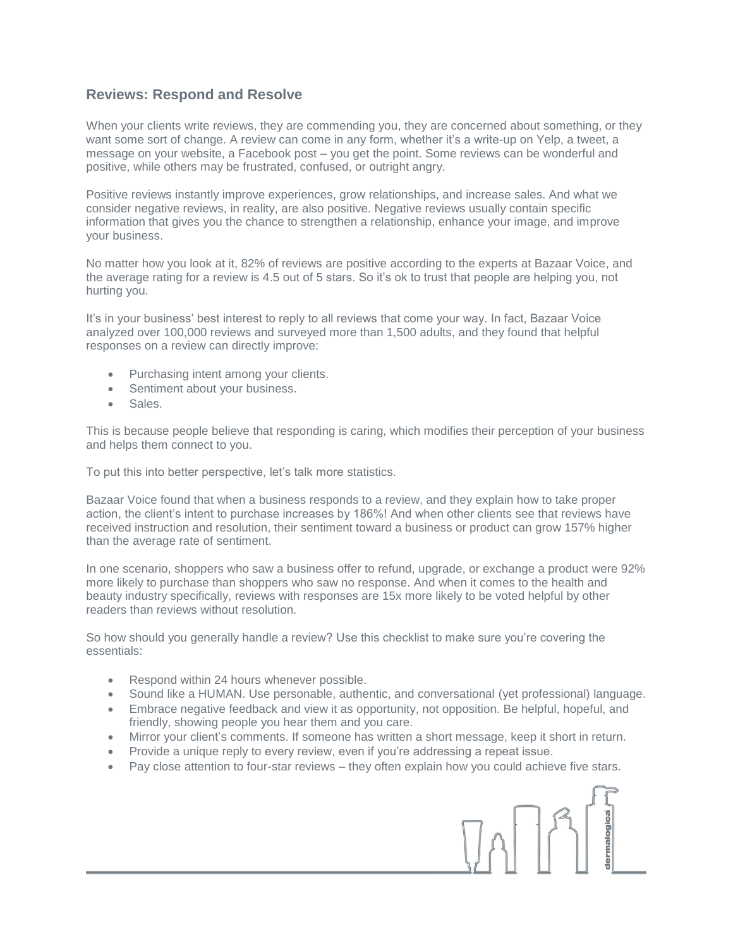## **Reviews: Respond and Resolve**

When your clients write reviews, they are commending you, they are concerned about something, or they want some sort of change. A review can come in any form, whether it's a write-up on Yelp, a tweet, a message on your website, a Facebook post – you get the point. Some reviews can be wonderful and positive, while others may be frustrated, confused, or outright angry.

Positive reviews instantly improve experiences, grow relationships, and increase sales. And what we consider negative reviews, in reality, are also positive. Negative reviews usually contain specific information that gives you the chance to strengthen a relationship, enhance your image, and improve your business.

No matter how you look at it, 82% of reviews are positive according to the experts at Bazaar Voice, and the average rating for a review is 4.5 out of 5 stars. So it's ok to trust that people are helping you, not hurting you.

It's in your business' best interest to reply to all reviews that come your way. In fact, Bazaar Voice analyzed over 100,000 reviews and surveyed more than 1,500 adults, and they found that helpful responses on a review can directly improve:

- Purchasing intent among your clients.
- Sentiment about your business.
- Sales.

This is because people believe that responding is caring, which modifies their perception of your business and helps them connect to you.

To put this into better perspective, let's talk more statistics.

Bazaar Voice found that when a business responds to a review, and they explain how to take proper action, the client's intent to purchase increases by 186%! And when other clients see that reviews have received instruction and resolution, their sentiment toward a business or product can grow 157% higher than the average rate of sentiment.

In one scenario, shoppers who saw a business offer to refund, upgrade, or exchange a product were 92% more likely to purchase than shoppers who saw no response. And when it comes to the health and beauty industry specifically, reviews with responses are 15x more likely to be voted helpful by other readers than reviews without resolution.

So how should you generally handle a review? Use this checklist to make sure you're covering the essentials:

- Respond within 24 hours whenever possible.
- Sound like a HUMAN. Use personable, authentic, and conversational (yet professional) language.
- Embrace negative feedback and view it as opportunity, not opposition. Be helpful, hopeful, and friendly, showing people you hear them and you care.
- Mirror your client's comments. If someone has written a short message, keep it short in return.
- Provide a unique reply to every review, even if you're addressing a repeat issue.
- Pay close attention to four-star reviews they often explain how you could achieve five stars.